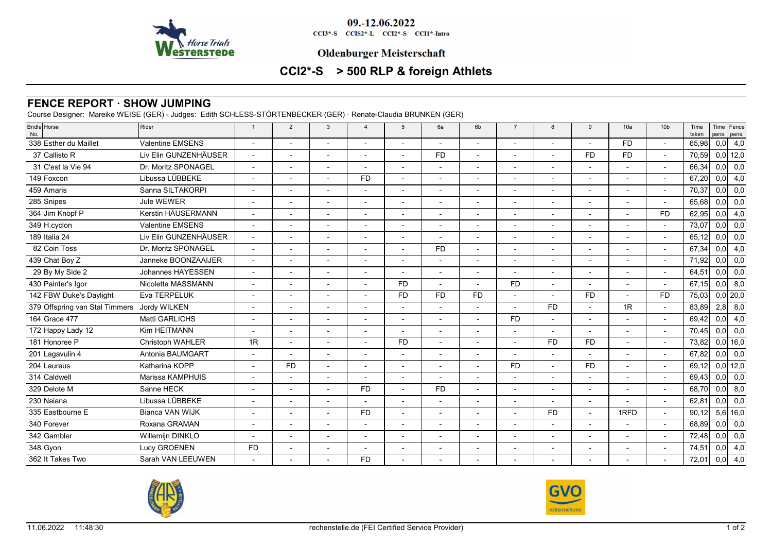

09.-12.06.2022

CCI3\*-S CCIS2\*-L CCI2\*-S CCI1\*-Intro

### **Oldenburger Meisterschaft**

# **CCI2\*-S > 500 RLP & foreign Athlets**

# **FENCE REPORT · SHOW JUMPING**

Course Designer: Mareike WEISE (GER) - Judges: Edith SCHLESS-STÖRTENBECKER (GER) · Renate-Claudia BRUNKEN (GER)

| 338 Esther du Maillet<br><b>Valentine EMSENS</b><br><b>FD</b><br>$\overline{a}$<br>$\overline{a}$<br>$\overline{a}$<br>$\overline{a}$<br>$\overline{a}$<br>$\overline{\phantom{a}}$<br>Liv Elin GUNZENHÄUSER<br>37 Callisto R<br>F <sub>D</sub><br><b>FD</b><br><b>FD</b><br>$\overline{\phantom{a}}$<br>Dr. Moritz SPONAGEL<br>31 C'est la Vie 94<br>$\overline{a}$<br>$\overline{a}$<br>$\overline{a}$<br>$\overline{a}$<br>$\overline{\phantom{a}}$<br>Libussa LÜBBEKE<br>149 Foxcon<br><b>FD</b><br>Sanna SILTAKORPI<br>459 Amaris<br>$\overline{\phantom{a}}$<br>$\overline{a}$<br>$\blacksquare$<br>$\overline{\phantom{a}}$<br>$\overline{a}$<br>$\overline{\phantom{a}}$<br>$\overline{a}$<br>$\overline{a}$<br>$\overline{\phantom{a}}$<br>Jule WEWER<br>285 Snipes<br>$\overline{\phantom{a}}$<br>$\overline{a}$<br>$\overline{a}$<br>Kerstin HÄUSERMANN<br><b>FD</b><br>364 Jim Knopf P<br>$\overline{a}$<br>$\overline{a}$<br>$\overline{\phantom{a}}$<br><b>Valentine EMSENS</b><br>349 H.cyclon<br>$\overline{a}$<br>Liv Elin GUNZENHÄUSER<br>189 Italia 24<br>$\blacksquare$<br>$\overline{a}$<br>Dr. Moritz SPONAGEL<br>82 Coin Toss<br><b>FD</b><br>$\overline{a}$<br>Janneke BOONZAAIJER<br>439 Chat Boy Z<br>$\overline{a}$<br><b>Johannes HAYESSEN</b><br>29 By My Side 2<br>$\blacksquare$<br>$\overline{a}$<br>Nicoletta MASSMANN<br>430 Painter's Igor<br>FD.<br><b>FD</b><br>$\overline{\phantom{a}}$<br>Eva TERPELUK<br>142 FBW Duke's Daylight<br><b>FD</b><br><b>FD</b><br><b>FD</b><br><b>FD</b><br><b>FD</b><br>$\sim$<br><b>FD</b><br>1R<br>379 Offspring van Stal Timmers<br>Jordy WILKEN<br>164 Grace 477<br><b>Matti GARLICHS</b><br><b>FD</b><br>$\blacksquare$<br>$\blacksquare$<br>$\overline{\phantom{a}}$<br>$\blacksquare$<br>$\overline{a}$<br>$\overline{a}$<br>$\blacksquare$<br>$\overline{a}$<br>$\overline{\phantom{a}}$<br>Kim HEITMANN<br>172 Happy Lady 12<br>$\overline{\phantom{a}}$<br>$\overline{\phantom{a}}$<br>181 Honoree P<br>Christoph WAHLER<br>1R<br><b>FD</b><br><b>FD</b><br><b>FD</b><br>$\overline{\phantom{a}}$<br>$\overline{\phantom{a}}$<br>Antonia BAUMGART<br>201 Lagavulin 4<br>$\overline{\phantom{a}}$<br>Katharina KOPP<br><b>FD</b><br><b>FD</b><br><b>FD</b><br>204 Laureus<br>$\overline{a}$<br>$\overline{a}$<br>314 Caldwell<br>Marissa KAMPHUIS<br>$\overline{a}$<br>$\overline{a}$<br>329 Delote M<br>Sanne HECK<br><b>FD</b><br><b>FD</b><br>$\overline{a}$<br>$\overline{a}$<br>Libussa LÜBBEKE<br>230 Najana<br>$\overline{\phantom{a}}$<br>$\blacksquare$<br>$\overline{\phantom{a}}$<br><b>Bianca VAN WIJK</b><br><b>FD</b><br><b>FD</b><br>1RFD<br>335 Eastbourne E<br>$\overline{a}$ | Time Fence<br>pens. pens. | Time<br>taken | 10 <sub>b</sub> | 10a | 9 | 8 | $\overline{7}$ | 6 <sub>b</sub> | 6a | $5\overline{5}$ | $\overline{4}$ | $\mathbf{3}$ | $\overline{2}$ | $\overline{1}$ | <b>Bridle</b> Horse<br>Rider<br>No. |
|------------------------------------------------------------------------------------------------------------------------------------------------------------------------------------------------------------------------------------------------------------------------------------------------------------------------------------------------------------------------------------------------------------------------------------------------------------------------------------------------------------------------------------------------------------------------------------------------------------------------------------------------------------------------------------------------------------------------------------------------------------------------------------------------------------------------------------------------------------------------------------------------------------------------------------------------------------------------------------------------------------------------------------------------------------------------------------------------------------------------------------------------------------------------------------------------------------------------------------------------------------------------------------------------------------------------------------------------------------------------------------------------------------------------------------------------------------------------------------------------------------------------------------------------------------------------------------------------------------------------------------------------------------------------------------------------------------------------------------------------------------------------------------------------------------------------------------------------------------------------------------------------------------------------------------------------------------------------------------------------------------------------------------------------------------------------------------------------------------------------------------------------------------------------------------------------------------------------------------------------------------------------------------------------------------------------------------------------------------------------------------------------------------------------------------------------------------------------------------------------------------------------------------------------------------------------------------------------------------------------------------------------------------------------------|---------------------------|---------------|-----------------|-----|---|---|----------------|----------------|----|-----------------|----------------|--------------|----------------|----------------|-------------------------------------|
|                                                                                                                                                                                                                                                                                                                                                                                                                                                                                                                                                                                                                                                                                                                                                                                                                                                                                                                                                                                                                                                                                                                                                                                                                                                                                                                                                                                                                                                                                                                                                                                                                                                                                                                                                                                                                                                                                                                                                                                                                                                                                                                                                                                                                                                                                                                                                                                                                                                                                                                                                                                                                                                                              | 0,0<br>4,0                | 65,98         |                 |     |   |   |                |                |    |                 |                |              |                |                |                                     |
|                                                                                                                                                                                                                                                                                                                                                                                                                                                                                                                                                                                                                                                                                                                                                                                                                                                                                                                                                                                                                                                                                                                                                                                                                                                                                                                                                                                                                                                                                                                                                                                                                                                                                                                                                                                                                                                                                                                                                                                                                                                                                                                                                                                                                                                                                                                                                                                                                                                                                                                                                                                                                                                                              | $0,0$ 12,0                | 70,59         |                 |     |   |   |                |                |    |                 |                |              |                |                |                                     |
|                                                                                                                                                                                                                                                                                                                                                                                                                                                                                                                                                                                                                                                                                                                                                                                                                                                                                                                                                                                                                                                                                                                                                                                                                                                                                                                                                                                                                                                                                                                                                                                                                                                                                                                                                                                                                                                                                                                                                                                                                                                                                                                                                                                                                                                                                                                                                                                                                                                                                                                                                                                                                                                                              | 0,0<br>0,0                | 66,34         |                 |     |   |   |                |                |    |                 |                |              |                |                |                                     |
|                                                                                                                                                                                                                                                                                                                                                                                                                                                                                                                                                                                                                                                                                                                                                                                                                                                                                                                                                                                                                                                                                                                                                                                                                                                                                                                                                                                                                                                                                                                                                                                                                                                                                                                                                                                                                                                                                                                                                                                                                                                                                                                                                                                                                                                                                                                                                                                                                                                                                                                                                                                                                                                                              | 0,0<br>4,0                | 67,20         |                 |     |   |   |                |                |    |                 |                |              |                |                |                                     |
|                                                                                                                                                                                                                                                                                                                                                                                                                                                                                                                                                                                                                                                                                                                                                                                                                                                                                                                                                                                                                                                                                                                                                                                                                                                                                                                                                                                                                                                                                                                                                                                                                                                                                                                                                                                                                                                                                                                                                                                                                                                                                                                                                                                                                                                                                                                                                                                                                                                                                                                                                                                                                                                                              | 0,0<br>0,0                | 70,37         |                 |     |   |   |                |                |    |                 |                |              |                |                |                                     |
|                                                                                                                                                                                                                                                                                                                                                                                                                                                                                                                                                                                                                                                                                                                                                                                                                                                                                                                                                                                                                                                                                                                                                                                                                                                                                                                                                                                                                                                                                                                                                                                                                                                                                                                                                                                                                                                                                                                                                                                                                                                                                                                                                                                                                                                                                                                                                                                                                                                                                                                                                                                                                                                                              | 0,0<br>0,0                | 65,68         |                 |     |   |   |                |                |    |                 |                |              |                |                |                                     |
|                                                                                                                                                                                                                                                                                                                                                                                                                                                                                                                                                                                                                                                                                                                                                                                                                                                                                                                                                                                                                                                                                                                                                                                                                                                                                                                                                                                                                                                                                                                                                                                                                                                                                                                                                                                                                                                                                                                                                                                                                                                                                                                                                                                                                                                                                                                                                                                                                                                                                                                                                                                                                                                                              | 0,0<br>4,0                | 62,95         |                 |     |   |   |                |                |    |                 |                |              |                |                |                                     |
|                                                                                                                                                                                                                                                                                                                                                                                                                                                                                                                                                                                                                                                                                                                                                                                                                                                                                                                                                                                                                                                                                                                                                                                                                                                                                                                                                                                                                                                                                                                                                                                                                                                                                                                                                                                                                                                                                                                                                                                                                                                                                                                                                                                                                                                                                                                                                                                                                                                                                                                                                                                                                                                                              | 0,0<br>0,0                | 73,07         |                 |     |   |   |                |                |    |                 |                |              |                |                |                                     |
|                                                                                                                                                                                                                                                                                                                                                                                                                                                                                                                                                                                                                                                                                                                                                                                                                                                                                                                                                                                                                                                                                                                                                                                                                                                                                                                                                                                                                                                                                                                                                                                                                                                                                                                                                                                                                                                                                                                                                                                                                                                                                                                                                                                                                                                                                                                                                                                                                                                                                                                                                                                                                                                                              | 0,0<br>0,0                | 65,12         |                 |     |   |   |                |                |    |                 |                |              |                |                |                                     |
|                                                                                                                                                                                                                                                                                                                                                                                                                                                                                                                                                                                                                                                                                                                                                                                                                                                                                                                                                                                                                                                                                                                                                                                                                                                                                                                                                                                                                                                                                                                                                                                                                                                                                                                                                                                                                                                                                                                                                                                                                                                                                                                                                                                                                                                                                                                                                                                                                                                                                                                                                                                                                                                                              | 0,0<br>4,0                | 67,34         |                 |     |   |   |                |                |    |                 |                |              |                |                |                                     |
|                                                                                                                                                                                                                                                                                                                                                                                                                                                                                                                                                                                                                                                                                                                                                                                                                                                                                                                                                                                                                                                                                                                                                                                                                                                                                                                                                                                                                                                                                                                                                                                                                                                                                                                                                                                                                                                                                                                                                                                                                                                                                                                                                                                                                                                                                                                                                                                                                                                                                                                                                                                                                                                                              | 0,0<br>0,0                | 71,92         |                 |     |   |   |                |                |    |                 |                |              |                |                |                                     |
|                                                                                                                                                                                                                                                                                                                                                                                                                                                                                                                                                                                                                                                                                                                                                                                                                                                                                                                                                                                                                                                                                                                                                                                                                                                                                                                                                                                                                                                                                                                                                                                                                                                                                                                                                                                                                                                                                                                                                                                                                                                                                                                                                                                                                                                                                                                                                                                                                                                                                                                                                                                                                                                                              | 0,0<br>0,0                | 64,51         |                 |     |   |   |                |                |    |                 |                |              |                |                |                                     |
|                                                                                                                                                                                                                                                                                                                                                                                                                                                                                                                                                                                                                                                                                                                                                                                                                                                                                                                                                                                                                                                                                                                                                                                                                                                                                                                                                                                                                                                                                                                                                                                                                                                                                                                                                                                                                                                                                                                                                                                                                                                                                                                                                                                                                                                                                                                                                                                                                                                                                                                                                                                                                                                                              | 0,0<br>8,0                | 67,15         |                 |     |   |   |                |                |    |                 |                |              |                |                |                                     |
|                                                                                                                                                                                                                                                                                                                                                                                                                                                                                                                                                                                                                                                                                                                                                                                                                                                                                                                                                                                                                                                                                                                                                                                                                                                                                                                                                                                                                                                                                                                                                                                                                                                                                                                                                                                                                                                                                                                                                                                                                                                                                                                                                                                                                                                                                                                                                                                                                                                                                                                                                                                                                                                                              | $0,0$  20,0               | 75,03         |                 |     |   |   |                |                |    |                 |                |              |                |                |                                     |
|                                                                                                                                                                                                                                                                                                                                                                                                                                                                                                                                                                                                                                                                                                                                                                                                                                                                                                                                                                                                                                                                                                                                                                                                                                                                                                                                                                                                                                                                                                                                                                                                                                                                                                                                                                                                                                                                                                                                                                                                                                                                                                                                                                                                                                                                                                                                                                                                                                                                                                                                                                                                                                                                              | 2,8<br>8,0                | 83,89         |                 |     |   |   |                |                |    |                 |                |              |                |                |                                     |
|                                                                                                                                                                                                                                                                                                                                                                                                                                                                                                                                                                                                                                                                                                                                                                                                                                                                                                                                                                                                                                                                                                                                                                                                                                                                                                                                                                                                                                                                                                                                                                                                                                                                                                                                                                                                                                                                                                                                                                                                                                                                                                                                                                                                                                                                                                                                                                                                                                                                                                                                                                                                                                                                              | 0,0<br>4,0                | 69,42         |                 |     |   |   |                |                |    |                 |                |              |                |                |                                     |
|                                                                                                                                                                                                                                                                                                                                                                                                                                                                                                                                                                                                                                                                                                                                                                                                                                                                                                                                                                                                                                                                                                                                                                                                                                                                                                                                                                                                                                                                                                                                                                                                                                                                                                                                                                                                                                                                                                                                                                                                                                                                                                                                                                                                                                                                                                                                                                                                                                                                                                                                                                                                                                                                              | 0,0<br>0,0                | 70,45         |                 |     |   |   |                |                |    |                 |                |              |                |                |                                     |
|                                                                                                                                                                                                                                                                                                                                                                                                                                                                                                                                                                                                                                                                                                                                                                                                                                                                                                                                                                                                                                                                                                                                                                                                                                                                                                                                                                                                                                                                                                                                                                                                                                                                                                                                                                                                                                                                                                                                                                                                                                                                                                                                                                                                                                                                                                                                                                                                                                                                                                                                                                                                                                                                              | $0,0$ 16,0                | 73,82         |                 |     |   |   |                |                |    |                 |                |              |                |                |                                     |
|                                                                                                                                                                                                                                                                                                                                                                                                                                                                                                                                                                                                                                                                                                                                                                                                                                                                                                                                                                                                                                                                                                                                                                                                                                                                                                                                                                                                                                                                                                                                                                                                                                                                                                                                                                                                                                                                                                                                                                                                                                                                                                                                                                                                                                                                                                                                                                                                                                                                                                                                                                                                                                                                              | 0,0<br>0,0                | 67,82         |                 |     |   |   |                |                |    |                 |                |              |                |                |                                     |
|                                                                                                                                                                                                                                                                                                                                                                                                                                                                                                                                                                                                                                                                                                                                                                                                                                                                                                                                                                                                                                                                                                                                                                                                                                                                                                                                                                                                                                                                                                                                                                                                                                                                                                                                                                                                                                                                                                                                                                                                                                                                                                                                                                                                                                                                                                                                                                                                                                                                                                                                                                                                                                                                              | $0,0$ 12,0                | 69,12         |                 |     |   |   |                |                |    |                 |                |              |                |                |                                     |
|                                                                                                                                                                                                                                                                                                                                                                                                                                                                                                                                                                                                                                                                                                                                                                                                                                                                                                                                                                                                                                                                                                                                                                                                                                                                                                                                                                                                                                                                                                                                                                                                                                                                                                                                                                                                                                                                                                                                                                                                                                                                                                                                                                                                                                                                                                                                                                                                                                                                                                                                                                                                                                                                              | 0,0<br>0,0                | 69,43         |                 |     |   |   |                |                |    |                 |                |              |                |                |                                     |
|                                                                                                                                                                                                                                                                                                                                                                                                                                                                                                                                                                                                                                                                                                                                                                                                                                                                                                                                                                                                                                                                                                                                                                                                                                                                                                                                                                                                                                                                                                                                                                                                                                                                                                                                                                                                                                                                                                                                                                                                                                                                                                                                                                                                                                                                                                                                                                                                                                                                                                                                                                                                                                                                              | 0,0<br>8,0                | 68,70         |                 |     |   |   |                |                |    |                 |                |              |                |                |                                     |
|                                                                                                                                                                                                                                                                                                                                                                                                                                                                                                                                                                                                                                                                                                                                                                                                                                                                                                                                                                                                                                                                                                                                                                                                                                                                                                                                                                                                                                                                                                                                                                                                                                                                                                                                                                                                                                                                                                                                                                                                                                                                                                                                                                                                                                                                                                                                                                                                                                                                                                                                                                                                                                                                              | 0,0<br>0,0                | 62,81         |                 |     |   |   |                |                |    |                 |                |              |                |                |                                     |
|                                                                                                                                                                                                                                                                                                                                                                                                                                                                                                                                                                                                                                                                                                                                                                                                                                                                                                                                                                                                                                                                                                                                                                                                                                                                                                                                                                                                                                                                                                                                                                                                                                                                                                                                                                                                                                                                                                                                                                                                                                                                                                                                                                                                                                                                                                                                                                                                                                                                                                                                                                                                                                                                              | $5,6$ 16,0                | 90,12         |                 |     |   |   |                |                |    |                 |                |              |                |                |                                     |
| Roxana GRAMAN<br>340 Forever<br>$\blacksquare$<br>$\overline{a}$<br>$\overline{a}$<br>$\overline{a}$                                                                                                                                                                                                                                                                                                                                                                                                                                                                                                                                                                                                                                                                                                                                                                                                                                                                                                                                                                                                                                                                                                                                                                                                                                                                                                                                                                                                                                                                                                                                                                                                                                                                                                                                                                                                                                                                                                                                                                                                                                                                                                                                                                                                                                                                                                                                                                                                                                                                                                                                                                         | 0,0<br>0,0                | 68,89         |                 |     |   |   |                |                |    |                 |                |              |                |                |                                     |
| 342 Gambler<br>Willemijn DINKLO<br>$\overline{a}$                                                                                                                                                                                                                                                                                                                                                                                                                                                                                                                                                                                                                                                                                                                                                                                                                                                                                                                                                                                                                                                                                                                                                                                                                                                                                                                                                                                                                                                                                                                                                                                                                                                                                                                                                                                                                                                                                                                                                                                                                                                                                                                                                                                                                                                                                                                                                                                                                                                                                                                                                                                                                            | 0,0<br>0,0                | 72,48         |                 |     |   |   |                |                |    |                 |                |              |                |                |                                     |
| Lucy GROENEN<br><b>FD</b><br>348 Gyon<br>$\overline{\phantom{a}}$<br>$\blacksquare$<br>$\overline{\phantom{a}}$<br>$\overline{\phantom{a}}$<br>$\overline{a}$<br>$\blacksquare$<br>$\blacksquare$<br>$\overline{\phantom{a}}$                                                                                                                                                                                                                                                                                                                                                                                                                                                                                                                                                                                                                                                                                                                                                                                                                                                                                                                                                                                                                                                                                                                                                                                                                                                                                                                                                                                                                                                                                                                                                                                                                                                                                                                                                                                                                                                                                                                                                                                                                                                                                                                                                                                                                                                                                                                                                                                                                                                | 0,0<br>4,0                | 74,51         |                 |     |   |   |                |                |    |                 |                |              |                |                |                                     |
| Sarah VAN LEEUWEN<br><b>FD</b><br>362 It Takes Two                                                                                                                                                                                                                                                                                                                                                                                                                                                                                                                                                                                                                                                                                                                                                                                                                                                                                                                                                                                                                                                                                                                                                                                                                                                                                                                                                                                                                                                                                                                                                                                                                                                                                                                                                                                                                                                                                                                                                                                                                                                                                                                                                                                                                                                                                                                                                                                                                                                                                                                                                                                                                           | 4,0<br>0,0                | 72,01         |                 |     |   |   |                |                |    |                 |                |              |                |                |                                     |